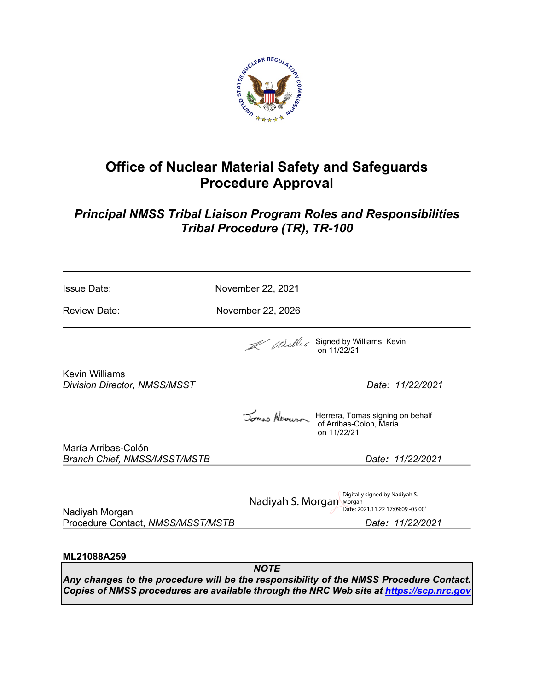

# **Office of Nuclear Material Safety and Safeguards Procedure Approval**

# *Principal NMSS Tribal Liaison Program Roles and Responsibilities Tribal Procedure (TR), TR-100*

| <b>Issue Date:</b>                                           | November 22, 2021                                                                                                   |  |  |
|--------------------------------------------------------------|---------------------------------------------------------------------------------------------------------------------|--|--|
| <b>Review Date:</b>                                          | November 22, 2026                                                                                                   |  |  |
|                                                              | Alillians, Kevin<br>on 11/22/21                                                                                     |  |  |
| <b>Kevin Williams</b><br><b>Division Director, NMSS/MSST</b> | Date: 11/22/2021                                                                                                    |  |  |
|                                                              | Jomes Newwww Herrera, Tomas signing on behalf<br>of Arribas-Colon, Maria<br>on 11/22/21                             |  |  |
| María Arribas-Colón<br><b>Branch Chief, NMSS/MSST/MSTB</b>   | Date: 11/22/2021                                                                                                    |  |  |
| Nadiyah Morgan<br>Procedure Contact, NMSS/MSST/MSTB          | Digitally signed by Nadiyah S.<br>Nadiyah S. Morgan Morgan<br>Date: 2021.11.22 17:09:09 -05'00'<br>Date: 11/22/2021 |  |  |
| ML21088A259                                                  |                                                                                                                     |  |  |
|                                                              | <b>NOTE</b><br>Any changes to the procedure will be the responsibility of the NMSS Procedure Contact.               |  |  |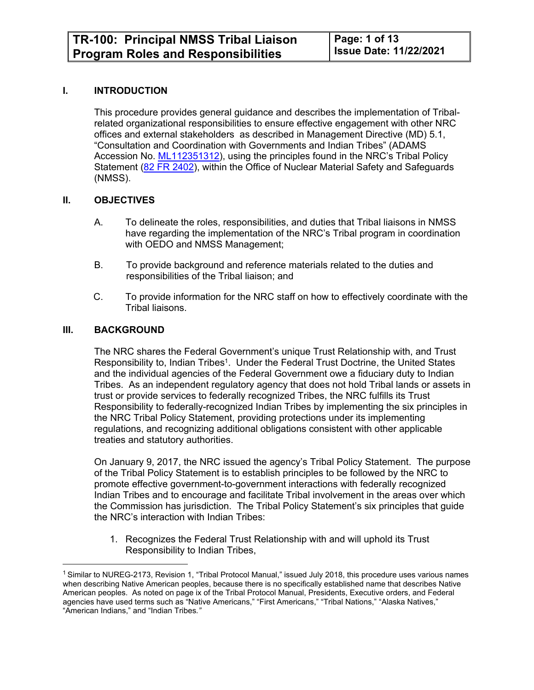#### **I. INTRODUCTION**

This procedure provides general guidance and describes the implementation of Tribalrelated organizational responsibilities to ensure effective engagement with other NRC offices and external stakeholders as described in Management Directive (MD) 5.1, "Consultation and Coordination with Governments and Indian Tribes" (ADAMS Accession No. [ML112351312\)](https://adamswebsearch2.nrc.gov/webSearch2/main.jsp?AccessionNumber=ML112351312), using the principles found in the NRC's Tribal Policy Statement ([82 FR 2402](https://tribal.nrc.gov/includes/Final_TPS_FRN_Jan_9_2017_82_FR_2402.pdf)), within the Office of Nuclear Material Safety and Safeguards (NMSS).

#### **II. OBJECTIVES**

- A. To delineate the roles, responsibilities, and duties that Tribal liaisons in NMSS have regarding the implementation of the NRC's Tribal program in coordination with OEDO and NMSS Management;
- B. To provide background and reference materials related to the duties and responsibilities of the Tribal liaison; and
- C. To provide information for the NRC staff on how to effectively coordinate with the Tribal liaisons.

#### **III. BACKGROUND**

The NRC shares the Federal Government's unique Trust Relationship with, and Trust Responsibility to, Indian Tribes<sup>1</sup>. Under the Federal Trust Doctrine, the United States and the individual agencies of the Federal Government owe a fiduciary duty to Indian Tribes. As an independent regulatory agency that does not hold Tribal lands or assets in trust or provide services to federally recognized Tribes, the NRC fulfills its Trust Responsibility to federally-recognized Indian Tribes by implementing the six principles in the NRC Tribal Policy Statement, providing protections under its implementing regulations, and recognizing additional obligations consistent with other applicable treaties and statutory authorities.

On January 9, 2017, the NRC issued the agency's Tribal Policy Statement. The purpose of the Tribal Policy Statement is to establish principles to be followed by the NRC to promote effective government-to-government interactions with federally recognized Indian Tribes and to encourage and facilitate Tribal involvement in the areas over which the Commission has jurisdiction. The Tribal Policy Statement's six principles that guide the NRC's interaction with Indian Tribes:

1. Recognizes the Federal Trust Relationship with and will uphold its Trust Responsibility to Indian Tribes,

<sup>&</sup>lt;sup>1</sup> Similar to NUREG-2173, Revision 1, "Tribal Protocol Manual," issued July 2018, this procedure uses various names when describing Native American peoples, because there is no specifically established name that describes Native American peoples. As noted on page ix of the Tribal Protocol Manual, Presidents, Executive orders, and Federal agencies have used terms such as "Native Americans," "First Americans," "Tribal Nations," "Alaska Natives," "American Indians," and "Indian Tribes*."*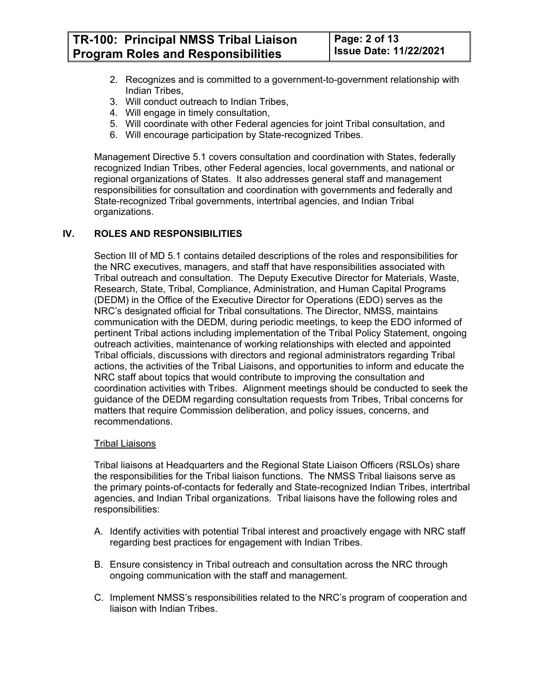**TR-100: Principal NMSS Tribal Liaison Program Roles and Responsibilities** 

- 2. Recognizes and is committed to a government-to-government relationship with Indian Tribes,
- 3. Will conduct outreach to Indian Tribes,
- 4. Will engage in timely consultation,
- 5. Will coordinate with other Federal agencies for joint Tribal consultation, and
- 6. Will encourage participation by State-recognized Tribes.

Management Directive 5.1 covers consultation and coordination with States, federally recognized Indian Tribes, other Federal agencies, local governments, and national or regional organizations of States. It also addresses general staff and management responsibilities for consultation and coordination with governments and federally and State-recognized Tribal governments, intertribal agencies, and Indian Tribal organizations.

#### **IV. ROLES AND RESPONSIBILITIES**

Section III of MD 5.1 contains detailed descriptions of the roles and responsibilities for the NRC executives, managers, and staff that have responsibilities associated with Tribal outreach and consultation. The Deputy Executive Director for Materials, Waste, Research, State, Tribal, Compliance, Administration, and Human Capital Programs (DEDM) in the Office of the Executive Director for Operations (EDO) serves as the NRC's designated official for Tribal consultations. The Director, NMSS, maintains communication with the DEDM, during periodic meetings, to keep the EDO informed of pertinent Tribal actions including implementation of the Tribal Policy Statement, ongoing outreach activities, maintenance of working relationships with elected and appointed Tribal officials, discussions with directors and regional administrators regarding Tribal actions, the activities of the Tribal Liaisons, and opportunities to inform and educate the NRC staff about topics that would contribute to improving the consultation and coordination activities with Tribes. Alignment meetings should be conducted to seek the guidance of the DEDM regarding consultation requests from Tribes, Tribal concerns for matters that require Commission deliberation, and policy issues, concerns, and recommendations.

#### Tribal Liaisons

Tribal liaisons at Headquarters and the Regional State Liaison Officers (RSLOs) share the responsibilities for the Tribal liaison functions. The NMSS Tribal liaisons serve as the primary points-of-contacts for federally and State-recognized Indian Tribes, intertribal agencies, and Indian Tribal organizations. Tribal liaisons have the following roles and responsibilities:

- A. Identify activities with potential Tribal interest and proactively engage with NRC staff regarding best practices for engagement with Indian Tribes.
- B. Ensure consistency in Tribal outreach and consultation across the NRC through ongoing communication with the staff and management.
- C. Implement NMSS's responsibilities related to the NRC's program of cooperation and liaison with Indian Tribes.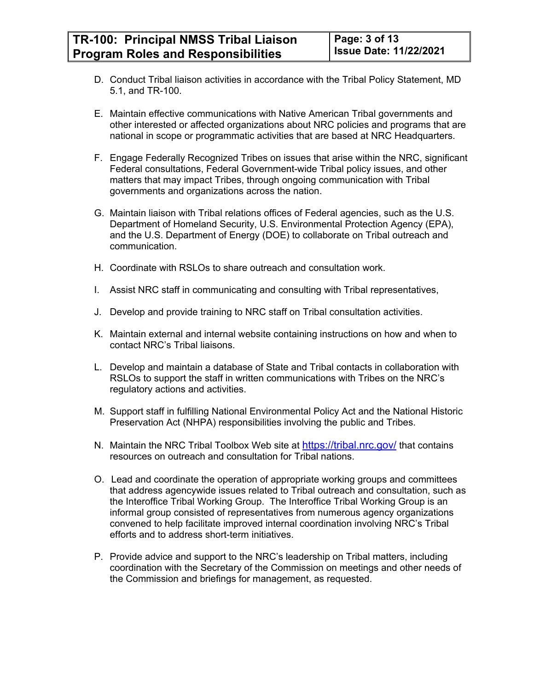- D. Conduct Tribal liaison activities in accordance with the Tribal Policy Statement, MD 5.1, and TR-100.
- E. Maintain effective communications with Native American Tribal governments and other interested or affected organizations about NRC policies and programs that are national in scope or programmatic activities that are based at NRC Headquarters.
- F. Engage Federally Recognized Tribes on issues that arise within the NRC, significant Federal consultations, Federal Government-wide Tribal policy issues, and other matters that may impact Tribes, through ongoing communication with Tribal governments and organizations across the nation.
- G. Maintain liaison with Tribal relations offices of Federal agencies, such as the U.S. Department of Homeland Security, U.S. Environmental Protection Agency (EPA), and the U.S. Department of Energy (DOE) to collaborate on Tribal outreach and communication.
- H. Coordinate with RSLOs to share outreach and consultation work.
- I. Assist NRC staff in communicating and consulting with Tribal representatives,
- J. Develop and provide training to NRC staff on Tribal consultation activities.
- K. Maintain external and internal website containing instructions on how and when to contact NRC's Tribal liaisons.
- L. Develop and maintain a database of State and Tribal contacts in collaboration with RSLOs to support the staff in written communications with Tribes on the NRC's regulatory actions and activities.
- M. Support staff in fulfilling National Environmental Policy Act and the National Historic Preservation Act (NHPA) responsibilities involving the public and Tribes.
- N. Maintain the NRC Tribal Toolbox Web site at <https://tribal.nrc.gov/> that contains resources on outreach and consultation for Tribal nations.
- O. Lead and coordinate the operation of appropriate working groups and committees that address agencywide issues related to Tribal outreach and consultation, such as the Interoffice Tribal Working Group. The Interoffice Tribal Working Group is an informal group consisted of representatives from numerous agency organizations convened to help facilitate improved internal coordination involving NRC's Tribal efforts and to address short-term initiatives.
- P. Provide advice and support to the NRC's leadership on Tribal matters, including coordination with the Secretary of the Commission on meetings and other needs of the Commission and briefings for management, as requested.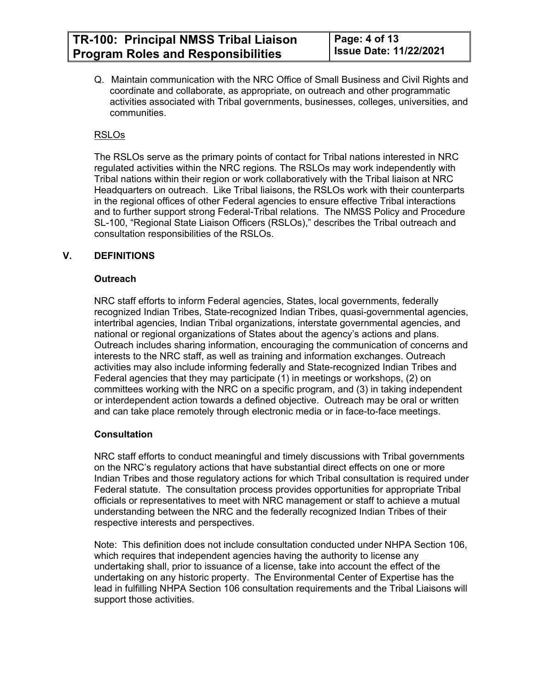Q. Maintain communication with the NRC Office of Small Business and Civil Rights and coordinate and collaborate, as appropriate, on outreach and other programmatic activities associated with Tribal governments, businesses, colleges, universities, and communities.

# RSLOs

The RSLOs serve as the primary points of contact for Tribal nations interested in NRC regulated activities within the NRC regions. The RSLOs may work independently with Tribal nations within their region or work collaboratively with the Tribal liaison at NRC Headquarters on outreach. Like Tribal liaisons, the RSLOs work with their counterparts in the regional offices of other Federal agencies to ensure effective Tribal interactions and to further support strong Federal-Tribal relations. The NMSS Policy and Procedure SL-100, "Regional State Liaison Officers (RSLOs)," describes the Tribal outreach and consultation responsibilities of the RSLOs.

# **V. DEFINITIONS**

#### **Outreach**

NRC staff efforts to inform Federal agencies, States, local governments, federally recognized Indian Tribes, State-recognized Indian Tribes, quasi-governmental agencies, intertribal agencies, Indian Tribal organizations, interstate governmental agencies, and national or regional organizations of States about the agency's actions and plans. Outreach includes sharing information, encouraging the communication of concerns and interests to the NRC staff, as well as training and information exchanges. Outreach activities may also include informing federally and State-recognized Indian Tribes and Federal agencies that they may participate (1) in meetings or workshops, (2) on committees working with the NRC on a specific program, and (3) in taking independent or interdependent action towards a defined objective. Outreach may be oral or written and can take place remotely through electronic media or in face-to-face meetings.

#### **Consultation**

NRC staff efforts to conduct meaningful and timely discussions with Tribal governments on the NRC's regulatory actions that have substantial direct effects on one or more Indian Tribes and those regulatory actions for which Tribal consultation is required under Federal statute. The consultation process provides opportunities for appropriate Tribal officials or representatives to meet with NRC management or staff to achieve a mutual understanding between the NRC and the federally recognized Indian Tribes of their respective interests and perspectives.

Note: This definition does not include consultation conducted under NHPA Section 106, which requires that independent agencies having the authority to license any undertaking shall, prior to issuance of a license, take into account the effect of the undertaking on any historic property. The Environmental Center of Expertise has the lead in fulfilling NHPA Section 106 consultation requirements and the Tribal Liaisons will support those activities.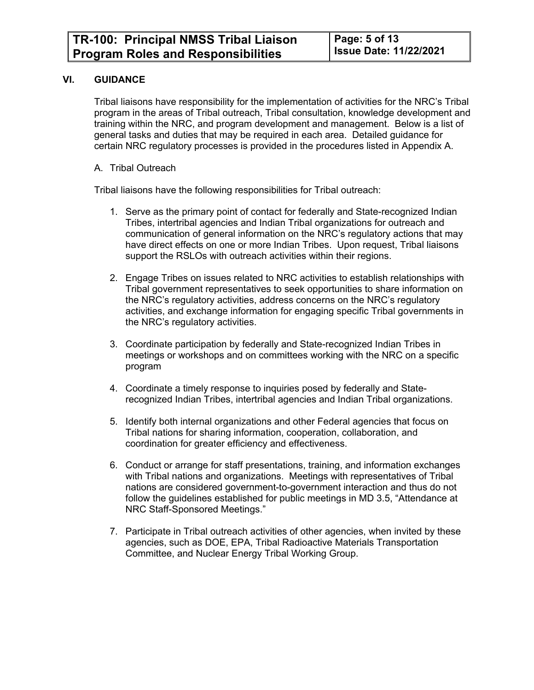#### **VI. GUIDANCE**

Tribal liaisons have responsibility for the implementation of activities for the NRC's Tribal program in the areas of Tribal outreach, Tribal consultation, knowledge development and training within the NRC, and program development and management. Below is a list of general tasks and duties that may be required in each area. Detailed guidance for certain NRC regulatory processes is provided in the procedures listed in Appendix A.

A. Tribal Outreach

Tribal liaisons have the following responsibilities for Tribal outreach:

- 1. Serve as the primary point of contact for federally and State-recognized Indian Tribes, intertribal agencies and Indian Tribal organizations for outreach and communication of general information on the NRC's regulatory actions that may have direct effects on one or more Indian Tribes. Upon request, Tribal liaisons support the RSLOs with outreach activities within their regions.
- 2. Engage Tribes on issues related to NRC activities to establish relationships with Tribal government representatives to seek opportunities to share information on the NRC's regulatory activities, address concerns on the NRC's regulatory activities, and exchange information for engaging specific Tribal governments in the NRC's regulatory activities.
- 3. Coordinate participation by federally and State-recognized Indian Tribes in meetings or workshops and on committees working with the NRC on a specific program
- 4. Coordinate a timely response to inquiries posed by federally and Staterecognized Indian Tribes, intertribal agencies and Indian Tribal organizations.
- 5. Identify both internal organizations and other Federal agencies that focus on Tribal nations for sharing information, cooperation, collaboration, and coordination for greater efficiency and effectiveness.
- 6. Conduct or arrange for staff presentations, training, and information exchanges with Tribal nations and organizations. Meetings with representatives of Tribal nations are considered government-to-government interaction and thus do not follow the guidelines established for public meetings in MD 3.5, "Attendance at NRC Staff-Sponsored Meetings."
- 7. Participate in Tribal outreach activities of other agencies, when invited by these agencies, such as DOE, EPA, Tribal Radioactive Materials Transportation Committee, and Nuclear Energy Tribal Working Group.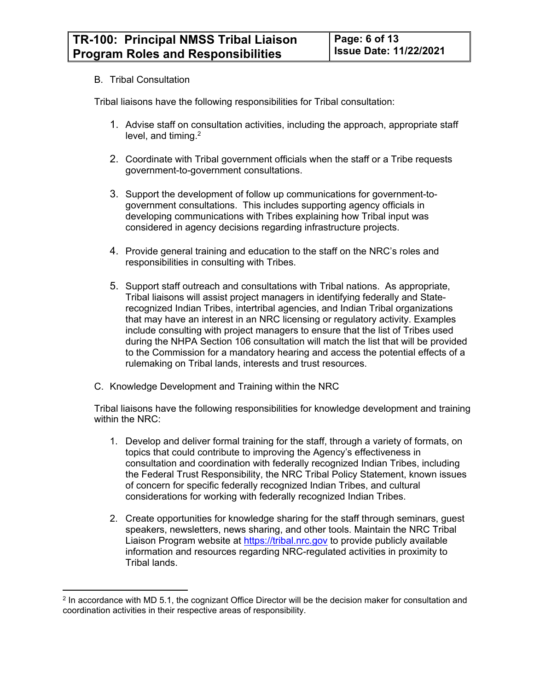#### B. Tribal Consultation

Tribal liaisons have the following responsibilities for Tribal consultation:

- 1. Advise staff on consultation activities, including the approach, appropriate staff level, and timing.<sup>2</sup>
- 2. Coordinate with Tribal government officials when the staff or a Tribe requests government-to-government consultations.
- 3. Support the development of follow up communications for government-togovernment consultations. This includes supporting agency officials in developing communications with Tribes explaining how Tribal input was considered in agency decisions regarding infrastructure projects.
- 4. Provide general training and education to the staff on the NRC's roles and responsibilities in consulting with Tribes.
- 5. Support staff outreach and consultations with Tribal nations. As appropriate, Tribal liaisons will assist project managers in identifying federally and Staterecognized Indian Tribes, intertribal agencies, and Indian Tribal organizations that may have an interest in an NRC licensing or regulatory activity. Examples include consulting with project managers to ensure that the list of Tribes used during the NHPA Section 106 consultation will match the list that will be provided to the Commission for a mandatory hearing and access the potential effects of a rulemaking on Tribal lands, interests and trust resources.
- C. Knowledge Development and Training within the NRC

Tribal liaisons have the following responsibilities for knowledge development and training within the NRC:

- 1. Develop and deliver formal training for the staff, through a variety of formats, on topics that could contribute to improving the Agency's effectiveness in consultation and coordination with federally recognized Indian Tribes, including the Federal Trust Responsibility, the NRC Tribal Policy Statement, known issues of concern for specific federally recognized Indian Tribes, and cultural considerations for working with federally recognized Indian Tribes.
- 2. Create opportunities for knowledge sharing for the staff through seminars, guest speakers, newsletters, news sharing, and other tools. Maintain the NRC Tribal Liaison Program website at <https://tribal.nrc.gov>to provide publicly available information and resources regarding NRC-regulated activities in proximity to Tribal lands.

<sup>&</sup>lt;sup>2</sup> In accordance with MD 5.1, the cognizant Office Director will be the decision maker for consultation and coordination activities in their respective areas of responsibility.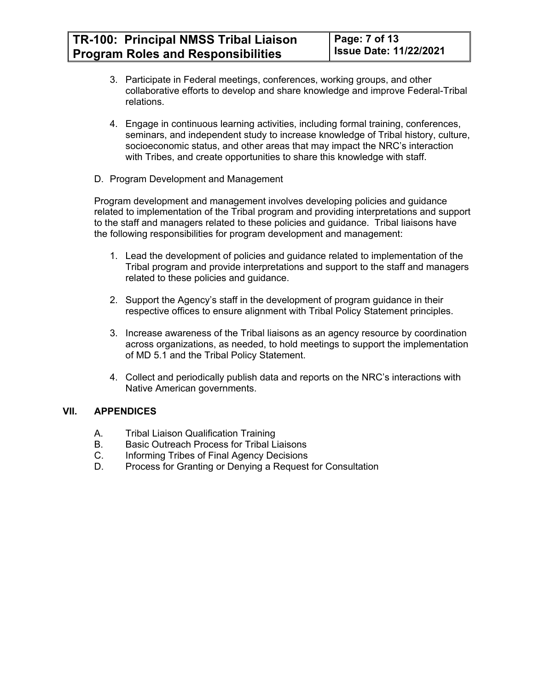- 3. Participate in Federal meetings, conferences, working groups, and other collaborative efforts to develop and share knowledge and improve Federal-Tribal relations.
- 4. Engage in continuous learning activities, including formal training, conferences, seminars, and independent study to increase knowledge of Tribal history, culture, socioeconomic status, and other areas that may impact the NRC's interaction with Tribes, and create opportunities to share this knowledge with staff.
- D. Program Development and Management

Program development and management involves developing policies and guidance related to implementation of the Tribal program and providing interpretations and support to the staff and managers related to these policies and guidance. Tribal liaisons have the following responsibilities for program development and management:

- 1. Lead the development of policies and guidance related to implementation of the Tribal program and provide interpretations and support to the staff and managers related to these policies and guidance.
- 2. Support the Agency's staff in the development of program guidance in their respective offices to ensure alignment with Tribal Policy Statement principles.
- 3. Increase awareness of the Tribal liaisons as an agency resource by coordination across organizations, as needed, to hold meetings to support the implementation of MD 5.1 and the Tribal Policy Statement.
- 4. Collect and periodically publish data and reports on the NRC's interactions with Native American governments.

#### **VII. APPENDICES**

- A. Tribal Liaison Qualification Training
- B. Basic Outreach Process for Tribal Liaisons
- C. Informing Tribes of Final Agency Decisions
- D. Process for Granting or Denying a Request for Consultation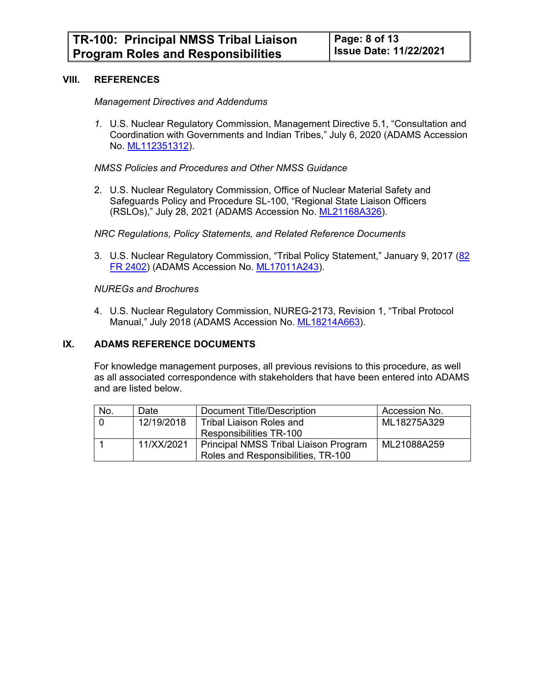#### **VIII. REFERENCES**

#### *Management Directives and Addendums*

*1.* U.S. Nuclear Regulatory Commission, Management Directive 5.1, "Consultation and Coordination with Governments and Indian Tribes," July 6, 2020 (ADAMS Accession No. [ML112351312\)](https://adamswebsearch2.nrc.gov/webSearch2/main.jsp?AccessionNumber=ML112351312).

#### *NMSS Policies and Procedures and Other NMSS Guidance*

2. U.S. Nuclear Regulatory Commission, Office of Nuclear Material Safety and Safeguards Policy and Procedure SL-100, "Regional State Liaison Officers (RSLOs)," July 28, 2021 (ADAMS Accession No. [ML21168A326\)](https://adamsxt.nrc.gov/navigator/AdamsXT/content/downloadContent.faces?objectStoreName=MainLibrary&ForceBrowserDownloadMgrPrompt=false&vsId=%7b032CC548-9EC8-CEBC-842E-7A1BB8A00000%7d).

#### *NRC Regulations, Policy Statements, and Related Reference Documents*

3. U.S. Nuclear Regulatory Commission, "Tribal Policy Statement," January 9, 2017 (82 [FR 2402](https://tribal.nrc.gov/includes/Final_TPS_FRN_Jan_9_2017_82_FR_2402.pdf)) (ADAMS Accession No. [ML17011A243\)](https://www.nrc.gov/docs/ML1701/ML17011A243.pdf).

#### *NUREGs and Brochures*

4. U.S. Nuclear Regulatory Commission, NUREG-2173, Revision 1, "Tribal Protocol Manual," July 2018 (ADAMS Accession No. [ML18214A663\)](https://adamsxt.nrc.gov/AdamsXT/content/downloadContent.faces?wId=1533573317492&objectStoreName=%7bFADD9FBE-4595-43E6-B85B-8F2B7707A2E9%7d&ForceBrowserDownloadMgrPrompt=false&vsId=%7bDE496FB0-147B-4BAB-B701-693123C4CF64%7d&docId=%7b0F6053C0-9B69-42F1-91D5-A3E6C6323E43%7d&theUser=jxc9).

#### **IX. ADAMS REFERENCE DOCUMENTS**

For knowledge management purposes, all previous revisions to this procedure, as well as all associated correspondence with stakeholders that have been entered into ADAMS and are listed below.

| No. | Date       | Document Title/Description                   | Accession No. |
|-----|------------|----------------------------------------------|---------------|
|     | 12/19/2018 | <b>Tribal Liaison Roles and</b>              | ML18275A329   |
|     |            | Responsibilities TR-100                      |               |
|     | 11/XX/2021 | <b>Principal NMSS Tribal Liaison Program</b> | ML21088A259   |
|     |            | Roles and Responsibilities, TR-100           |               |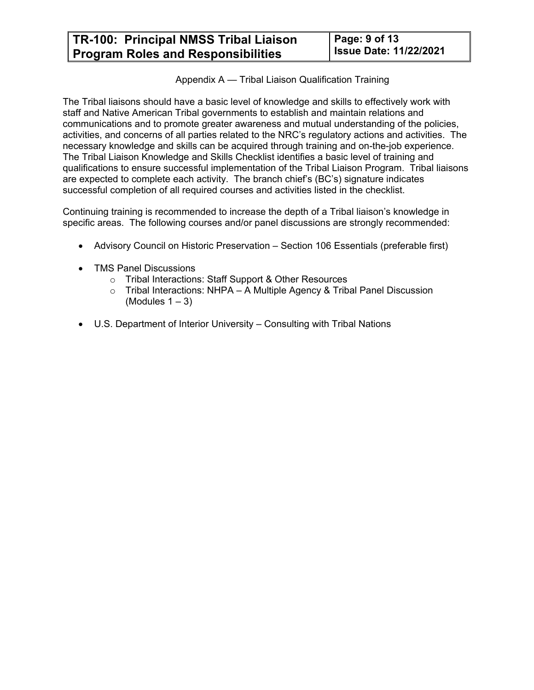# Appendix A — Tribal Liaison Qualification Training

The Tribal liaisons should have a basic level of knowledge and skills to effectively work with staff and Native American Tribal governments to establish and maintain relations and communications and to promote greater awareness and mutual understanding of the policies, activities, and concerns of all parties related to the NRC's regulatory actions and activities. The necessary knowledge and skills can be acquired through training and on-the-job experience. The Tribal Liaison Knowledge and Skills Checklist identifies a basic level of training and qualifications to ensure successful implementation of the Tribal Liaison Program. Tribal liaisons are expected to complete each activity. The branch chief's (BC's) signature indicates successful completion of all required courses and activities listed in the checklist.

Continuing training is recommended to increase the depth of a Tribal liaison's knowledge in specific areas. The following courses and/or panel discussions are strongly recommended:

- Advisory Council on Historic Preservation Section 106 Essentials (preferable first)
- TMS Panel Discussions
	- o Tribal Interactions: Staff Support & Other Resources
	- $\circ$  Tribal Interactions: NHPA A Multiple Agency & Tribal Panel Discussion (Modules  $1 - 3$ )
- U.S. Department of Interior University Consulting with Tribal Nations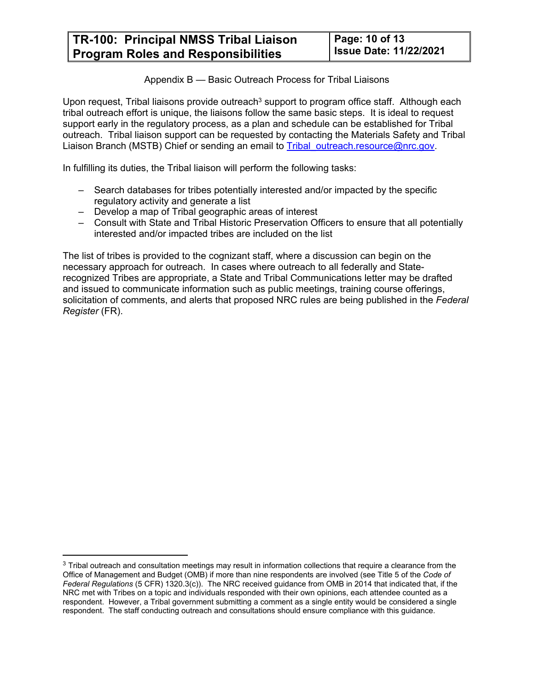Appendix B — Basic Outreach Process for Tribal Liaisons

Upon request, Tribal liaisons provide outreach<sup>3</sup> support to program office staff. Although each tribal outreach effort is unique, the liaisons follow the same basic steps. It is ideal to request support early in the regulatory process, as a plan and schedule can be established for Tribal outreach. Tribal liaison support can be requested by contacting the Materials Safety and Tribal Liaison Branch (MSTB) Chief or sending an email to Tribal outreach.resource@nrc.gov.

In fulfilling its duties, the Tribal liaison will perform the following tasks:

- Search databases for tribes potentially interested and/or impacted by the specific regulatory activity and generate a list
- Develop a map of Tribal geographic areas of interest
- Consult with State and Tribal Historic Preservation Officers to ensure that all potentially interested and/or impacted tribes are included on the list

The list of tribes is provided to the cognizant staff, where a discussion can begin on the necessary approach for outreach. In cases where outreach to all federally and Staterecognized Tribes are appropriate, a State and Tribal Communications letter may be drafted and issued to communicate information such as public meetings, training course offerings, solicitation of comments, and alerts that proposed NRC rules are being published in the *Federal Register* (FR).

 $3$  Tribal outreach and consultation meetings may result in information collections that require a clearance from the Office of Management and Budget (OMB) if more than nine respondents are involved (see Title 5 of the *Code of Federal Regulations* (5 CFR) 1320.3(c)). The NRC received guidance from OMB in 2014 that indicated that, if the NRC met with Tribes on a topic and individuals responded with their own opinions, each attendee counted as a respondent. However, a Tribal government submitting a comment as a single entity would be considered a single respondent. The staff conducting outreach and consultations should ensure compliance with this guidance.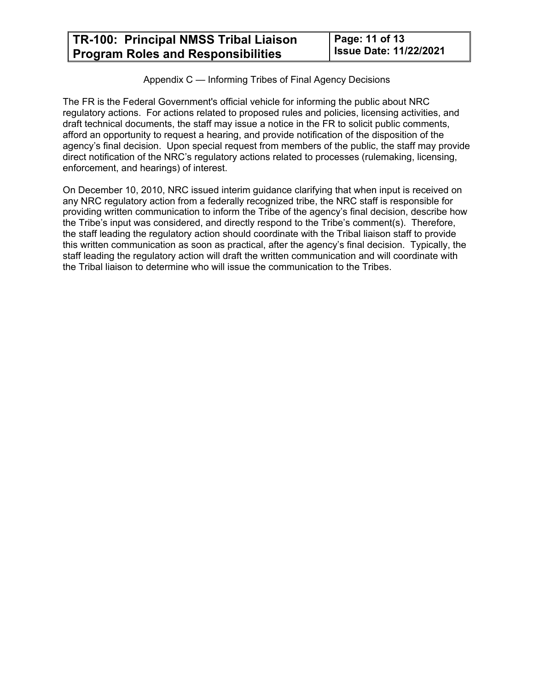Appendix C — Informing Tribes of Final Agency Decisions

The FR is the Federal Government's official vehicle for informing the public about NRC regulatory actions. For actions related to proposed rules and policies, licensing activities, and draft technical documents, the staff may issue a notice in the FR to solicit public comments, afford an opportunity to request a hearing, and provide notification of the disposition of the agency's final decision. Upon special request from members of the public, the staff may provide direct notification of the NRC's regulatory actions related to processes (rulemaking, licensing, enforcement, and hearings) of interest.

On December 10, 2010, NRC issued interim guidance clarifying that when input is received on any NRC regulatory action from a federally recognized tribe, the NRC staff is responsible for providing written communication to inform the Tribe of the agency's final decision, describe how the Tribe's input was considered, and directly respond to the Tribe's comment(s). Therefore, the staff leading the regulatory action should coordinate with the Tribal liaison staff to provide this written communication as soon as practical, after the agency's final decision. Typically, the staff leading the regulatory action will draft the written communication and will coordinate with the Tribal liaison to determine who will issue the communication to the Tribes.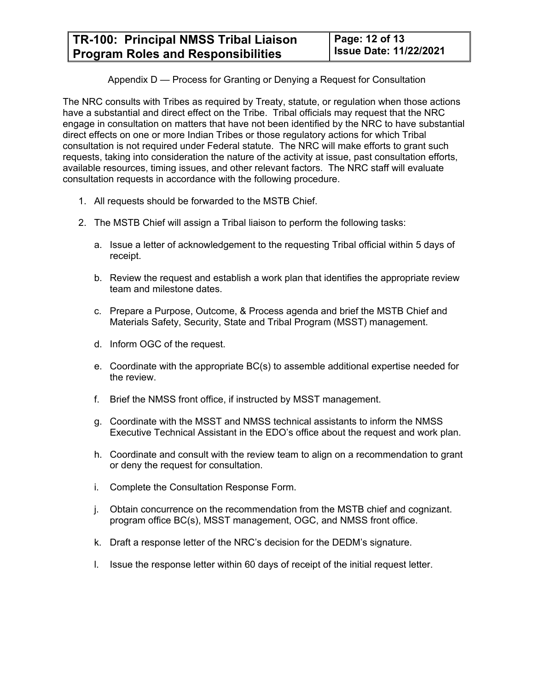# Appendix D — Process for Granting or Denying a Request for Consultation

The NRC consults with Tribes as required by Treaty, statute, or regulation when those actions have a substantial and direct effect on the Tribe. Tribal officials may request that the NRC engage in consultation on matters that have not been identified by the NRC to have substantial direct effects on one or more Indian Tribes or those regulatory actions for which Tribal consultation is not required under Federal statute. The NRC will make efforts to grant such requests, taking into consideration the nature of the activity at issue, past consultation efforts, available resources, timing issues, and other relevant factors. The NRC staff will evaluate consultation requests in accordance with the following procedure.

- 1. All requests should be forwarded to the MSTB Chief.
- 2. The MSTB Chief will assign a Tribal liaison to perform the following tasks:
	- a. Issue a letter of acknowledgement to the requesting Tribal official within 5 days of receipt.
	- b. Review the request and establish a work plan that identifies the appropriate review team and milestone dates.
	- c. Prepare a Purpose, Outcome, & Process agenda and brief the MSTB Chief and Materials Safety, Security, State and Tribal Program (MSST) management.
	- d. Inform OGC of the request.
	- e. Coordinate with the appropriate BC(s) to assemble additional expertise needed for the review.
	- f. Brief the NMSS front office, if instructed by MSST management.
	- g. Coordinate with the MSST and NMSS technical assistants to inform the NMSS Executive Technical Assistant in the EDO's office about the request and work plan.
	- h. Coordinate and consult with the review team to align on a recommendation to grant or deny the request for consultation.
	- i. Complete the Consultation Response Form.
	- j. Obtain concurrence on the recommendation from the MSTB chief and cognizant. program office BC(s), MSST management, OGC, and NMSS front office.
	- k. Draft a response letter of the NRC's decision for the DEDM's signature.
	- l. Issue the response letter within 60 days of receipt of the initial request letter.